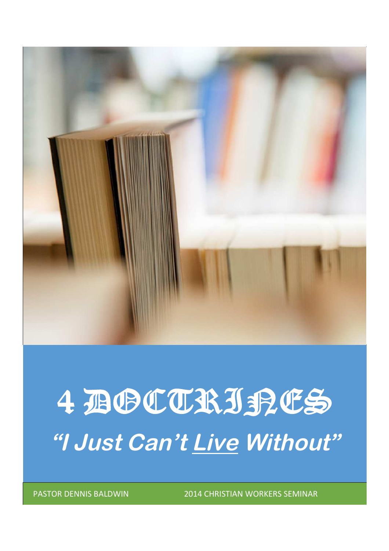

# 4 BOCTRISPES **"I Just Can't Live Without"**

PASTOR DENNIS BALDWIN 2014 CHRISTIAN WORKERS SEMINAR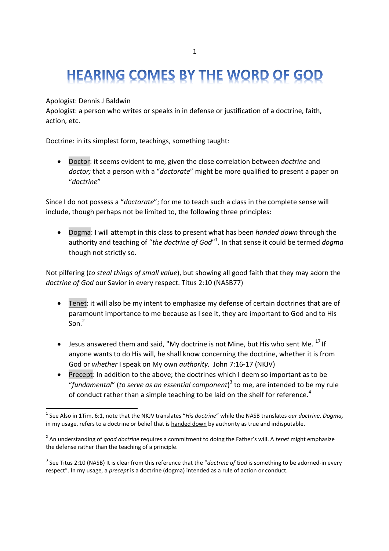# **HEARING COMES BY THE WORD OF GOD**

### Apologist: Dennis J Baldwin

Apologist: a person who writes or speaks in in defense or justification of a doctrine, faith, action, etc.

Doctrine: in its simplest form, teachings, something taught:

 Doctor: it seems evident to me, given the close correlation between *doctrine* and *doctor;* that a person with a "*doctorate*" might be more qualified to present a paper on "*doctrine*"

Since I do not possess a "*doctorate*"; for me to teach such a class in the complete sense will include, though perhaps not be limited to, the following three principles:

 Dogma: I will attempt in this class to present what has been *handed down* through the authority and teaching of "*the doctrine of God*" 1 . In that sense it could be termed *dogma* though not strictly so.

Not pilfering (*to steal things of small value*), but showing all good faith that they may adorn the *doctrine of God* our Savior in every respect. Titus 2:10 (NASB77)

- Tenet: it will also be my intent to emphasize my defense of certain doctrines that are of paramount importance to me because as I see it, they are important to God and to His Son. $<sup>2</sup>$ </sup>
- $\bullet$  Jesus answered them and said, "My doctrine is not Mine, but His who sent Me.  $^{17}$  If anyone wants to do His will, he shall know concerning the doctrine, whether it is from God or *whether* I speak on My own *authority.* John 7:16-17 (NKJV)
- Precept: In addition to the above; the doctrines which I deem so important as to be "*fundamental*" (*to serve as an essential component*) 3 to me, are intended to be my rule of conduct rather than a simple teaching to be laid on the shelf for reference.<sup>4</sup>

<sup>1</sup> See Also in 1Tim. 6:1, note that the NKJV translates "*His doctrine*" while the NASB translates *our doctrine*. *Dogma,* in my usage, refers to a doctrine or belief that is handed down by authority as true and indisputable.

<sup>2</sup> An understanding of *good doctrine* requires a commitment to doing the Father's will. A *tenet* might emphasize the defense rather than the teaching of a principle.

<sup>&</sup>lt;sup>3</sup> See Titus 2:10 (NASB) It is clear from this reference that the "*doctrine of God* is something to be adorned-in every respect". In my usage, a *precept* is a doctrine (dogma) intended as a rule of action or conduct.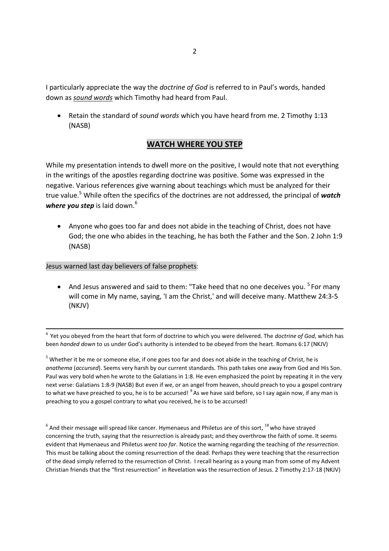I particularly appreciate the way the *doctrine of God* is referred to in Paul's words, handed down as *sound words* which Timothy had heard from Paul.

 Retain the standard of *sound words* which you have heard from me. 2 Timothy 1:13 (NASB)

### **WATCH WHERE YOU STEP**

While my presentation intends to dwell more on the positive, I would note that not everything in the writings of the apostles regarding doctrine was positive. Some was expressed in the negative. Various references give warning about teachings which must be analyzed for their true value.<sup>5</sup> While often the specifics of the doctrines are not addressed, the principal of *watch* where you step is laid down.<sup>6</sup>

 Anyone who goes too far and does not abide in the teaching of Christ, does not have God; the one who abides in the teaching, he has both the Father and the Son. 2 John 1:9 (NASB)

#### Jesus warned last day believers of false prophets:

• And Jesus answered and said to them: "Take heed that no one deceives you.  $5$  For many will come in My name, saying, 'I am the Christ,' and will deceive many. Matthew 24:3-5 (NKJV)

4 Yet you obeyed from the heart that form of doctrine to which you were delivered. The *doctrine of God*, which has been *handed down* to us under God's authority is intended to be obeyed from the heart. Romans 6:17 (NKJV)

<sup>5</sup> Whether it be me or someone else, if one goes too far and does not abide in the teaching of Christ, he is *anathema* (*accursed*). Seems very harsh by our current standards. This path takes one away from God and His Son. Paul was very bold when he wrote to the Galatians in 1:8. He even emphasized the point by repeating it in the very next verse: Galatians 1:8-9 (NASB) But even if we, or an angel from heaven, should preach to you a gospel contrary to what we have preached to you, he is to be accursed! <sup>9</sup> As we have said before, so I say again now, if any man is preaching to you a gospel contrary to what you received, he is to be accursed!

 $^6$  And their message will spread like cancer. Hymenaeus and Philetus are of this sort,  $^{18}$  who have strayed concerning the truth, saying that the resurrection is already past; and they overthrow the faith of some. It seems evident that Hymenaeus and Philetus *went too far*. Notice the warning regarding the teaching of *the resurrection*. This must be talking about the coming resurrection of the dead. Perhaps they were teaching that the resurrection of the dead simply referred to the resurrection of Christ. I recall hearing as a young man from some of my Advent Christian friends that the "first resurrection" in Revelation was the resurrection of Jesus. 2 Timothy 2:17-18 (NKJV)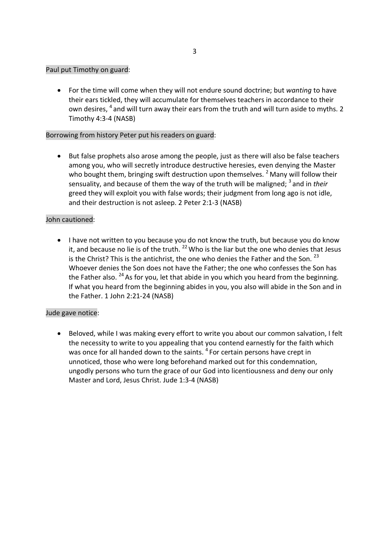#### Paul put Timothy on guard:

 For the time will come when they will not endure sound doctrine; but *wanting* to have their ears tickled, they will accumulate for themselves teachers in accordance to their own desires, <sup>4</sup> and will turn away their ears from the truth and will turn aside to myths. 2 Timothy 4:3-4 (NASB)

#### Borrowing from history Peter put his readers on guard:

 But false prophets also arose among the people, just as there will also be false teachers among you, who will secretly introduce destructive heresies, even denying the Master who bought them, bringing swift destruction upon themselves.  $2^2$  Many will follow their sensuality, and because of them the way of the truth will be maligned; <sup>3</sup> and in their greed they will exploit you with false words; their judgment from long ago is not idle, and their destruction is not asleep. 2 Peter 2:1-3 (NASB)

### John cautioned:

 I have not written to you because you do not know the truth, but because you do know it, and because no lie is of the truth.  $^{22}$  Who is the liar but the one who denies that Jesus is the Christ? This is the antichrist, the one who denies the Father and the Son.  $^{23}$ Whoever denies the Son does not have the Father; the one who confesses the Son has the Father also.  $^{24}$  As for you, let that abide in you which you heard from the beginning. If what you heard from the beginning abides in you, you also will abide in the Son and in the Father. 1 John 2:21-24 (NASB)

#### Jude gave notice:

 Beloved, while I was making every effort to write you about our common salvation, I felt the necessity to write to you appealing that you contend earnestly for the faith which was once for all handed down to the saints. <sup>4</sup> For certain persons have crept in unnoticed, those who were long beforehand marked out for this condemnation, ungodly persons who turn the grace of our God into licentiousness and deny our only Master and Lord, Jesus Christ. Jude 1:3-4 (NASB)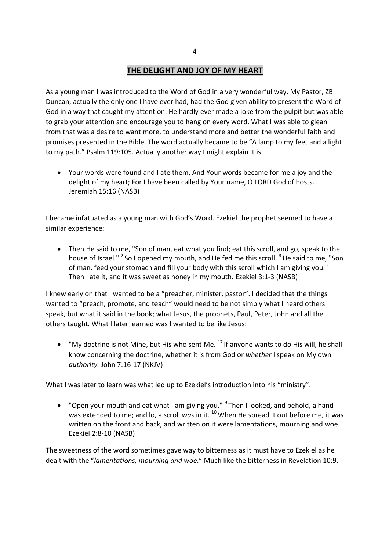### **THE DELIGHT AND JOY OF MY HEART**

As a young man I was introduced to the Word of God in a very wonderful way. My Pastor, ZB Duncan, actually the only one I have ever had, had the God given ability to present the Word of God in a way that caught my attention. He hardly ever made a joke from the pulpit but was able to grab your attention and encourage you to hang on every word. What I was able to glean from that was a desire to want more, to understand more and better the wonderful faith and promises presented in the Bible. The word actually became to be "A lamp to my feet and a light to my path." Psalm 119:105. Actually another way I might explain it is:

 Your words were found and I ate them, And Your words became for me a joy and the delight of my heart; For I have been called by Your name, O LORD God of hosts. Jeremiah 15:16 (NASB)

I became infatuated as a young man with God's Word. Ezekiel the prophet seemed to have a similar experience:

 Then He said to me, "Son of man, eat what you find; eat this scroll, and go, speak to the house of Israel." <sup>2</sup> So I opened my mouth, and He fed me this scroll. <sup>3</sup> He said to me, "Son of man, feed your stomach and fill your body with this scroll which I am giving you." Then I ate it, and it was sweet as honey in my mouth. Ezekiel 3:1-3 (NASB)

I knew early on that I wanted to be a "preacher, minister, pastor". I decided that the things I wanted to "preach, promote, and teach" would need to be not simply what I heard others speak, but what it said in the book; what Jesus, the prophets, Paul, Peter, John and all the others taught. What I later learned was I wanted to be like Jesus:

 $\bullet$  "My doctrine is not Mine, but His who sent Me.  $^{17}$  If anyone wants to do His will, he shall know concerning the doctrine, whether it is from God or *whether* I speak on My own *authority.* John 7:16-17 (NKJV)

What I was later to learn was what led up to Ezekiel's introduction into his "ministry".

• "Open your mouth and eat what I am giving you." <sup>9</sup> Then I looked, and behold, a hand was extended to me; and lo, a scroll *was* in it. <sup>10</sup> When He spread it out before me, it was written on the front and back, and written on it were lamentations, mourning and woe. Ezekiel 2:8-10 (NASB)

The sweetness of the word sometimes gave way to bitterness as it must have to Ezekiel as he dealt with the "*lamentations, mourning and woe*." Much like the bitterness in Revelation 10:9.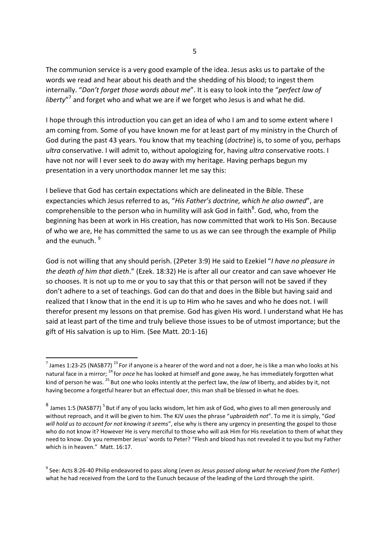The communion service is a very good example of the idea. Jesus asks us to partake of the words we read and hear about his death and the shedding of his blood; to ingest them internally. "*Don't forget those words about me*". It is easy to look into the "*perfect law of* liberty"<sup>7</sup> and forget who and what we are if we forget who Jesus is and what he did.

I hope through this introduction you can get an idea of who I am and to some extent where I am coming from. Some of you have known me for at least part of my ministry in the Church of God during the past 43 years. You know that my teaching (*doctrine*) is, to some of you, perhaps *ultra* conservative. I will admit to, without apologizing for, having *ultra* conservative roots. I have not nor will I ever seek to do away with my heritage. Having perhaps begun my presentation in a very unorthodox manner let me say this:

I believe that God has certain expectations which are delineated in the Bible. These expectancies which Jesus referred to as, "*His Father's doctrine, which he also owned*", are comprehensible to the person who in humility will ask God in faith $^8$ . God, who, from the beginning has been at work in His creation, has now committed that work to His Son. Because of who we are, He has committed the same to us as we can see through the example of Philip and the eunuch.  $9$ 

God is not willing that any should perish. (2Peter 3:9) He said to Ezekiel "*I have no pleasure in the death of him that dieth*." (Ezek. 18:32) He is after all our creator and can save whoever He so chooses. It is not up to me or you to say that this or that person will not be saved if they don't adhere to a set of teachings. God can do that and does in the Bible but having said and realized that I know that in the end it is up to Him who he saves and who he does not. I will therefor present my lessons on that premise. God has given His word. I understand what He has said at least part of the time and truly believe those issues to be of utmost importance; but the gift of His salvation is up to Him. (See Matt. 20:1-16)

<sup>&</sup>lt;sup>7</sup> James 1:23-25 (NASB77) <sup>23</sup> For if anyone is a hearer of the word and not a doer, he is like a man who looks at his natural face in a mirror; <sup>24</sup> for *once* he has looked at himself and gone away, he has immediately forgotten what kind of person he was. <sup>25</sup> But one who looks intently at the perfect law, the *law* of liberty, and abides by it, not having become a forgetful hearer but an effectual doer, this man shall be blessed in what he does.

 $^8$  James 1:5 (NASB77)  $^5$  But if any of you lacks wisdom, let him ask of God, who gives to all men generously and without reproach, and it will be given to him. The KJV uses the phrase "*upbraideth not*". To me it is simply, "*God will hold us to account for not knowing it seems*", else why is there any urgency in presenting the gospel to those who do not know it? However He is very merciful to those who will ask Him for His revelation to them of what they need to know. Do you remember Jesus' words to Peter? "Flesh and blood has not revealed it to you but my Father which is in heaven." Matt. 16:17.

<sup>9</sup> See: Acts 8:26-40 Philip endeavored to pass along (*even as Jesus passed along what he received from the Father*) what he had received from the Lord to the Eunuch because of the leading of the Lord through the spirit.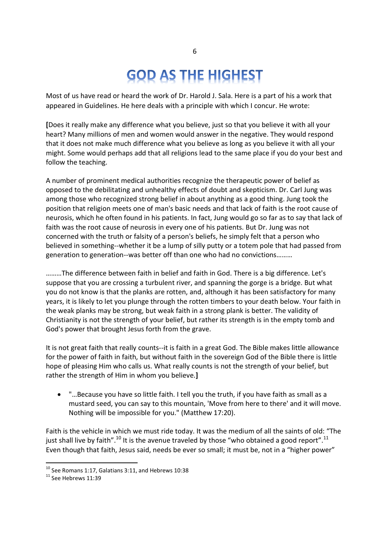# **GOD AS THE HIGHEST**

Most of us have read or heard the work of Dr. Harold J. Sala. Here is a part of his a work that appeared in Guidelines. He here deals with a principle with which I concur. He wrote:

**[**Does it really make any difference what you believe, just so that you believe it with all your heart? Many millions of men and women would answer in the negative. They would respond that it does not make much difference what you believe as long as you believe it with all your might. Some would perhaps add that all religions lead to the same place if you do your best and follow the teaching.

A number of prominent medical authorities recognize the therapeutic power of belief as opposed to the debilitating and unhealthy effects of doubt and skepticism. Dr. Carl Jung was among those who recognized strong belief in about anything as a good thing. Jung took the position that religion meets one of man's basic needs and that lack of faith is the root cause of neurosis, which he often found in his patients. In fact, Jung would go so far as to say that lack of faith was the root cause of neurosis in every one of his patients. But Dr. Jung was not concerned with the truth or falsity of a person's beliefs, he simply felt that a person who believed in something--whether it be a lump of silly putty or a totem pole that had passed from generation to generation--was better off than one who had no convictions………

………The difference between faith in belief and faith in God. There is a big difference. Let's suppose that you are crossing a turbulent river, and spanning the gorge is a bridge. But what you do not know is that the planks are rotten, and, although it has been satisfactory for many years, it is likely to let you plunge through the rotten timbers to your death below. Your faith in the weak planks may be strong, but weak faith in a strong plank is better. The validity of Christianity is not the strength of your belief, but rather its strength is in the empty tomb and God's power that brought Jesus forth from the grave.

It is not great faith that really counts--it is faith in a great God. The Bible makes little allowance for the power of faith in faith, but without faith in the sovereign God of the Bible there is little hope of pleasing Him who calls us. What really counts is not the strength of your belief, but rather the strength of Him in whom you believe.**]**

 "…Because you have so little faith. I tell you the truth, if you have faith as small as a mustard seed, you can say to this mountain, 'Move from here to there' and it will move. Nothing will be impossible for you." (Matthew 17:20).

Faith is the vehicle in which we must ride today. It was the medium of all the saints of old: "The just shall live by faith".<sup>10</sup> It is the avenue traveled by those "who obtained a good report".<sup>11</sup> Even though that faith, Jesus said, needs be ever so small; it must be, not in a "higher power"

<sup>10</sup> See Romans 1:17, Galatians 3:11, and Hebrews 10:38

<sup>&</sup>lt;sup>11</sup> See Hebrews 11:39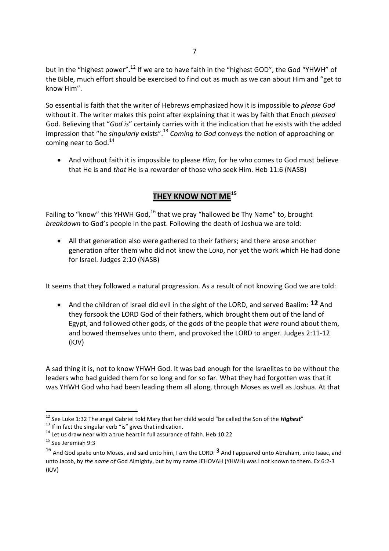but in the "highest power".<sup>12</sup> If we are to have faith in the "highest GOD", the God "YHWH" of the Bible, much effort should be exercised to find out as much as we can about Him and "get to know Him".

So essential is faith that the writer of Hebrews emphasized how it is impossible to *please God* without it. The writer makes this point after explaining that it was by faith that Enoch *pleased* God. Believing that "*God is*" certainly carries with it the indication that he exists with the added impression that "he *singularly* exists".<sup>13</sup> *Coming to God* conveys the notion of approaching or coming near to God.<sup>14</sup>

 And without faith it is impossible to please *Him,* for he who comes to God must believe that He is and *that* He is a rewarder of those who seek Him. Heb 11:6 (NASB)

# **THEY KNOW NOT ME<sup>15</sup>**

Failing to "know" this YHWH God,<sup>16</sup> that we pray "hallowed be Thy Name" to, brought *breakdown* to God's people in the past. Following the death of Joshua we are told:

 All that generation also were gathered to their fathers; and there arose another generation after them who did not know the LORD, nor yet the work which He had done for Israel. Judges 2:10 (NASB)

It seems that they followed a natural progression. As a result of not knowing God we are told:

 And the children of Israel did evil in the sight of the LORD, and served Baalim: **12** And they forsook the LORD God of their fathers, which brought them out of the land of Egypt, and followed other gods, of the gods of the people that *were* round about them, and bowed themselves unto them, and provoked the LORD to anger. Judges 2:11-12 (KJV)

A sad thing it is, not to know YHWH God. It was bad enough for the Israelites to be without the leaders who had guided them for so long and for so far. What they had forgotten was that it was YHWH God who had been leading them all along, through Moses as well as Joshua. At that

<sup>12</sup> See Luke 1:32 The angel Gabriel told Mary that her child would "be called the Son of the *Highest*"

 $13$  If in fact the singular verb "is" gives that indication.

<sup>&</sup>lt;sup>14</sup> Let us draw near with a true heart in full assurance of faith. Heb 10:22

<sup>15</sup> See Jeremiah 9:3

<sup>16</sup> And God spake unto Moses, and said unto him, I *am* the LORD: **3** And I appeared unto Abraham, unto Isaac, and unto Jacob, by *the name of* God Almighty, but by my name JEHOVAH (YHWH) was I not known to them. Ex 6:2-3 (KJV)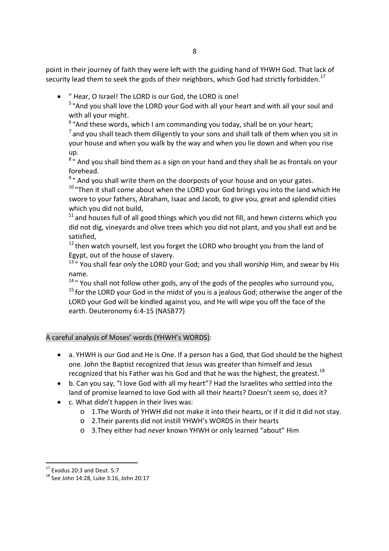point in their journey of faith they were left with the guiding hand of YHWH God. That lack of security lead them to seek the gods of their neighbors, which God had strictly forbidden.<sup>17</sup>

" Hear, O Israel! The LORD is our God, the LORD is one!

<sup>5</sup> "And you shall love the LORD your God with all your heart and with all your soul and with all your might.

 $6$  "And these words, which I am commanding you today, shall be on your heart;

 $^7$  and you shall teach them diligently to your sons and shall talk of them when you sit in your house and when you walk by the way and when you lie down and when you rise up.

<sup>8</sup>" And you shall bind them as a sign on your hand and they shall be as frontals on your forehead.

<sup>9</sup> " And you shall write them on the doorposts of your house and on your gates.

 $10$  "Then it shall come about when the LORD your God brings you into the land which He swore to your fathers, Abraham, Isaac and Jacob, to give you, great and splendid cities which you did not build,

 $11$  and houses full of all good things which you did not fill, and hewn cisterns which you did not dig, vineyards and olive trees which you did not plant, and you shall eat and be satisfied,

 $12$  then watch yourself, lest you forget the LORD who brought you from the land of Egypt, out of the house of slavery.

<sup>13</sup> " You shall fear *only* the LORD your God; and you shall worship Him, and swear by His name.

 $14$  " You shall not follow other gods, any of the gods of the peoples who surround you,  $15$  for the LORD your God in the midst of you is a jealous God; otherwise the anger of the LORD your God will be kindled against you, and He will wipe you off the face of the earth. Deuteronomy 6:4-15 (NASB77)

A careful analysis of Moses' words (YHWH's WORDS):

- a. YHWH is our God and He is One. If a person has a God, that God should be the highest one. John the Baptist recognized that Jesus was greater than himself and Jesus recognized that his Father was his God and that he was the highest, the greatest.<sup>18</sup>
- b. Can you say, "I love God with all my heart"? Had the Israelites who settled into the land of promise learned to love God with all their hearts? Doesn't seem so, does it?
- c. What didn't happen in their lives was:
	- o 1.The Words of YHWH did not make it into their hearts, or if it did it did not stay.
	- o 2.Their parents did not instill YHWH's WORDS in their hearts
	- o 3.They either had *never* known YHWH or only learned "about" Him

<sup>17</sup> Exodus 20:3 and Deut. 5:7

<sup>18</sup> See John 14:28, Luke 3:16, John 20:17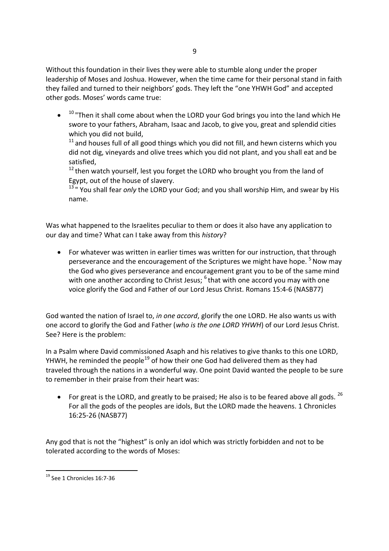Without this foundation in their lives they were able to stumble along under the proper leadership of Moses and Joshua. However, when the time came for their personal stand in faith they failed and turned to their neighbors' gods. They left the "one YHWH God" and accepted other gods. Moses' words came true:

 $\bullet$  $10$  "Then it shall come about when the LORD your God brings you into the land which He swore to your fathers, Abraham, Isaac and Jacob, to give you, great and splendid cities which you did not build,

 $11$  and houses full of all good things which you did not fill, and hewn cisterns which you did not dig, vineyards and olive trees which you did not plant, and you shall eat and be satisfied,

<sup>12</sup> then watch yourself, lest you forget the LORD who brought you from the land of Egypt, out of the house of slavery.

<sup>13</sup> " You shall fear *only* the LORD your God; and you shall worship Him, and swear by His name.

Was what happened to the Israelites peculiar to them or does it also have any application to our day and time? What can I take away from this *history*?

• For whatever was written in earlier times was written for our instruction, that through perseverance and the encouragement of the Scriptures we might have hope.  $5$  Now may the God who gives perseverance and encouragement grant you to be of the same mind with one another according to Christ Jesus; <sup>6</sup> that with one accord you may with one voice glorify the God and Father of our Lord Jesus Christ. Romans 15:4-6 (NASB77)

God wanted the nation of Israel to, *in one accord*, glorify the one LORD. He also wants us with one accord to glorify the God and Father (*who is the one LORD YHWH*) of our Lord Jesus Christ. See? Here is the problem:

In a Psalm where David commissioned Asaph and his relatives to give thanks to this one LORD, YHWH, he reminded the people<sup>19</sup> of how their one God had delivered them as they had traveled through the nations in a wonderful way. One point David wanted the people to be sure to remember in their praise from their heart was:

For great is the LORD, and greatly to be praised; He also is to be feared above all gods.  $^{26}$ For all the gods of the peoples are idols, But the LORD made the heavens. 1 Chronicles 16:25-26 (NASB77)

Any god that is not the "highest" is only an idol which was strictly forbidden and not to be tolerated according to the words of Moses:

<sup>&</sup>lt;sup>19</sup> See 1 Chronicles 16:7-36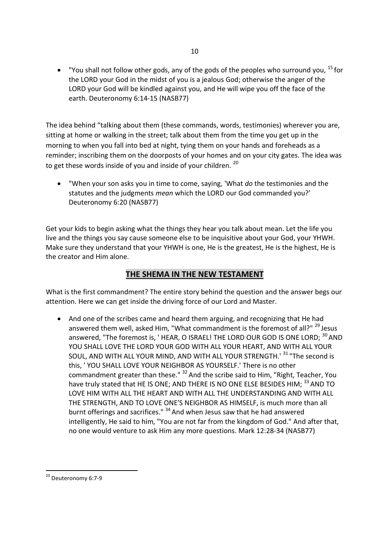• "You shall not follow other gods, any of the gods of the peoples who surround you,  $^{15}$  for the LORD your God in the midst of you is a jealous God; otherwise the anger of the LORD your God will be kindled against you, and He will wipe you off the face of the earth. Deuteronomy 6:14-15 (NASB77)

The idea behind "talking about them (these commands, words, testimonies) wherever you are, sitting at home or walking in the street; talk about them from the time you get up in the morning to when you fall into bed at night, tying them on your hands and foreheads as a reminder; inscribing them on the doorposts of your homes and on your city gates. The idea was to get these words inside of you and inside of your children.<sup>20</sup>

 "When your son asks you in time to come, saying, 'What *do* the testimonies and the statutes and the judgments *mean* which the LORD our God commanded you?' Deuteronomy 6:20 (NASB77)

Get your kids to begin asking what the things they hear you talk about mean. Let the life you live and the things you say cause someone else to be inquisitive about your God, your YHWH. Make sure they understand that your YHWH is one, He is the greatest, He is the highest, He is the creator and Him alone.

### **THE SHEMA IN THE NEW TESTAMENT**

What is the first commandment? The entire story behind the question and the answer begs our attention. Here we can get inside the driving force of our Lord and Master.

 And one of the scribes came and heard them arguing, and recognizing that He had answered them well, asked Him, "What commandment is the foremost of all?" <sup>29</sup> Jesus answered, "The foremost is, 'HEAR, O ISRAEL! THE LORD OUR GOD IS ONE LORD; <sup>30</sup> AND YOU SHALL LOVE THE LORD YOUR GOD WITH ALL YOUR HEART, AND WITH ALL YOUR SOUL, AND WITH ALL YOUR MIND, AND WITH ALL YOUR STRENGTH.<sup>' 31</sup> "The second is this, ' YOU SHALL LOVE YOUR NEIGHBOR AS YOURSELF.' There is no other commandment greater than these." <sup>32</sup> And the scribe said to Him, "Right, Teacher, You have truly stated that HE IS ONE; AND THERE IS NO ONE ELSE BESIDES HIM; <sup>33</sup> AND TO LOVE HIM WITH ALL THE HEART AND WITH ALL THE UNDERSTANDING AND WITH ALL THE STRENGTH, AND TO LOVE ONE'S NEIGHBOR AS HIMSELF, is much more than all burnt offerings and sacrifices." <sup>34</sup> And when Jesus saw that he had answered intelligently, He said to him, "You are not far from the kingdom of God." And after that, no one would venture to ask Him any more questions. Mark 12:28-34 (NASB77)

<sup>&</sup>lt;sup>20</sup> Deuteronomy 6:7-9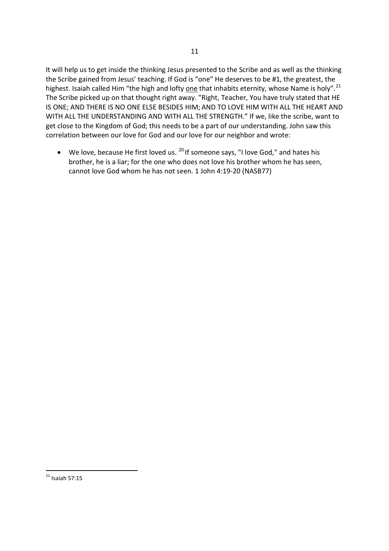It will help us to get inside the thinking Jesus presented to the Scribe and as well as the thinking the Scribe gained from Jesus' teaching. If God is "one" He deserves to be #1, the greatest, the highest. Isaiah called Him "the high and lofty one that inhabits eternity, whose Name is holy".<sup>21</sup> The Scribe picked up on that thought right away. "Right, Teacher, You have truly stated that HE IS ONE; AND THERE IS NO ONE ELSE BESIDES HIM; AND TO LOVE HIM WITH ALL THE HEART AND WITH ALL THE UNDERSTANDING AND WITH ALL THE STRENGTH." If we, like the scribe, want to get close to the Kingdom of God; this needs to be a part of our understanding. John saw this correlation between our love for God and our love for our neighbor and wrote:

 $\bullet$  We love, because He first loved us.  $^{20}$  If someone says, "I love God," and hates his brother, he is a liar; for the one who does not love his brother whom he has seen, cannot love God whom he has not seen. 1 John 4:19-20 (NASB77)

 $21$  Isaiah 57:15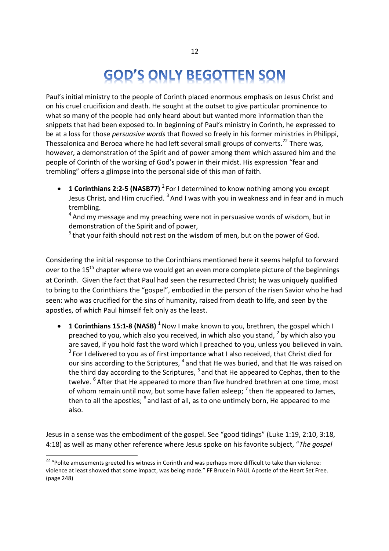# **GOD'S ONLY BEGOTTEN SON**

Paul's initial ministry to the people of Corinth placed enormous emphasis on Jesus Christ and on his cruel crucifixion and death. He sought at the outset to give particular prominence to what so many of the people had only heard about but wanted more information than the snippets that had been exposed to. In beginning of Paul's ministry in Corinth, he expressed to be at a loss for those *persuasive words* that flowed so freely in his former ministries in Philippi, Thessalonica and Beroea where he had left several small groups of converts.<sup>22</sup> There was, however, a demonstration of the Spirit and of power among them which assured him and the people of Corinth of the working of God's power in their midst. His expression "fear and trembling" offers a glimpse into the personal side of this man of faith.

**1 Corinthians 2:2-5 (NASB77)** <sup>2</sup> For I determined to know nothing among you except Jesus Christ, and Him crucified. <sup>3</sup> And I was with you in weakness and in fear and in much trembling.

<sup>4</sup> And my message and my preaching were not in persuasive words of wisdom, but in demonstration of the Spirit and of power,

 $5$  that your faith should not rest on the wisdom of men, but on the power of God.

Considering the initial response to the Corinthians mentioned here it seems helpful to forward over to the 15<sup>th</sup> chapter where we would get an even more complete picture of the beginnings at Corinth. Given the fact that Paul had seen the resurrected Christ; he was uniquely qualified to bring to the Corinthians the "gospel", embodied in the person of the risen Savior who he had seen: who was crucified for the sins of humanity, raised from death to life, and seen by the apostles, of which Paul himself felt only as the least.

**1 Corinthians 15:1-8 (NASB)** <sup>1</sup> Now I make known to you, brethren, the gospel which I preached to you, which also you received, in which also you stand,  $2$  by which also you are saved, if you hold fast the word which I preached to you, unless you believed in vain.  $3$  For I delivered to you as of first importance what I also received, that Christ died for our sins according to the Scriptures, <sup>4</sup> and that He was buried, and that He was raised on the third day according to the Scriptures, <sup>5</sup> and that He appeared to Cephas, then to the twelve. <sup>6</sup> After that He appeared to more than five hundred brethren at one time, most of whom remain until now, but some have fallen asleep;  $^7$  then He appeared to James, then to all the apostles; <sup>8</sup> and last of all, as to one untimely born, He appeared to me also.

Jesus in a sense was the embodiment of the gospel. See "good tidings" (Luke 1:19, 2:10, 3:18, 4:18) as well as many other reference where Jesus spoke on his favorite subject, "*The gospel*

<sup>&</sup>lt;sup>22</sup> "Polite amusements greeted his witness in Corinth and was perhaps more difficult to take than violence: violence at least showed that some impact, was being made." FF Bruce in PAUL Apostle of the Heart Set Free. (page 248)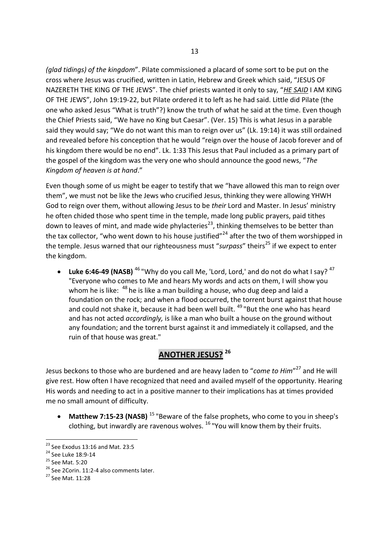*(glad tidings) of the kingdom*". Pilate commissioned a placard of some sort to be put on the cross where Jesus was crucified, written in Latin, Hebrew and Greek which said, "JESUS OF NAZERETH THE KING OF THE JEWS". The chief priests wanted it only to say, "*HE SAID* I AM KING OF THE JEWS", John 19:19-22, but Pilate ordered it to left as he had said. Little did Pilate (the one who asked Jesus "What is truth"?) know the truth of what he said at the time. Even though the Chief Priests said, "We have no King but Caesar". (Ver. 15) This is what Jesus in a parable said they would say; "We do not want this man to reign over us" (Lk. 19:14) it was still ordained and revealed before his conception that he would "reign over the house of Jacob forever and of his kingdom there would be no end". Lk. 1:33 This Jesus that Paul included as a primary part of the gospel of the kingdom was the very one who should announce the good news, "*The Kingdom of heaven is at hand*."

Even though some of us might be eager to testify that we "have allowed this man to reign over them", we must not be like the Jews who crucified Jesus, thinking they were allowing YHWH God to reign over them, without allowing Jesus to be *their* Lord and Master. In Jesus' ministry he often chided those who spent time in the temple, made long public prayers, paid tithes down to leaves of mint, and made wide phylacteries<sup>23</sup>, thinking themselves to be better than the tax collector, "who went down to his house justified"<sup>24</sup> after the two of them worshipped in the temple. Jesus warned that our righteousness must "surpass" theirs<sup>25</sup> if we expect to enter the kingdom.

Luke 6:46-49 (NASB)<sup>46</sup> "Why do you call Me, 'Lord, Lord,' and do not do what I say?<sup>47</sup> "Everyone who comes to Me and hears My words and acts on them, I will show you whom he is like: <sup>48</sup> he is like a man building a house, who dug deep and laid a foundation on the rock; and when a flood occurred, the torrent burst against that house and could not shake it, because it had been well built. <sup>49</sup> "But the one who has heard and has not acted *accordingly,* is like a man who built a house on the ground without any foundation; and the torrent burst against it and immediately it collapsed, and the ruin of that house was great."

# **ANOTHER JESUS? <sup>26</sup>**

Jesus beckons to those who are burdened and are heavy laden to "*come to Him*" <sup>27</sup> and He will give rest. How often I have recognized that need and availed myself of the opportunity. Hearing His words and needing to act in a positive manner to their implications has at times provided me no small amount of difficulty.

• Matthew 7:15-23 (NASB)<sup>15</sup> "Beware of the false prophets, who come to you in sheep's clothing, but inwardly are ravenous wolves.  $^{16}$  "You will know them by their fruits.

 $^{23}$  See Exodus 13:16 and Mat. 23:5

<sup>&</sup>lt;sup>24</sup> See Luke 18:9-14

<sup>25</sup> See Mat. 5:20

<sup>&</sup>lt;sup>26</sup> See 2Corin. 11:2-4 also comments later.

<sup>27</sup> See Mat. 11:28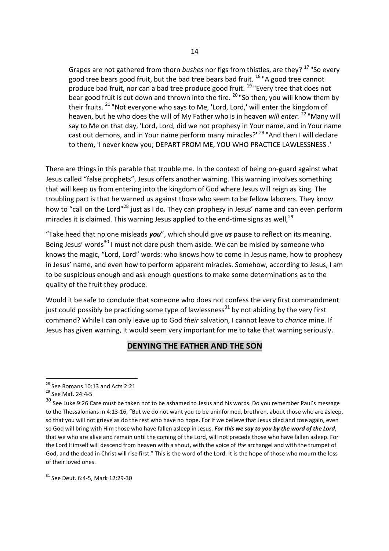Grapes are not gathered from thorn *bushes* nor figs from thistles, are they? <sup>17</sup> "So every good tree bears good fruit, but the bad tree bears bad fruit.  $^{18}$  "A good tree cannot produce bad fruit, nor can a bad tree produce good fruit. <sup>19</sup> "Every tree that does not bear good fruit is cut down and thrown into the fire. <sup>20</sup> "So then, you will know them by their fruits. <sup>21</sup> "Not everyone who says to Me, 'Lord, Lord,' will enter the kingdom of heaven, but he who does the will of My Father who is in heaven *will enter.* <sup>22</sup> "Many will say to Me on that day, 'Lord, Lord, did we not prophesy in Your name, and in Your name cast out demons, and in Your name perform many miracles?' <sup>23</sup> "And then I will declare to them, 'I never knew you; DEPART FROM ME, YOU WHO PRACTICE LAWLESSNESS .'

There are things in this parable that trouble me. In the context of being on-guard against what Jesus called "false prophets", Jesus offers another warning. This warning involves something that will keep us from entering into the kingdom of God where Jesus will reign as king. The troubling part is that he warned us against those who seem to be fellow laborers. They know how to "call on the Lord"<sup>28</sup> just as I do. They can prophesy in Jesus' name and can even perform miracles it is claimed. This warning Jesus applied to the end-time signs as well, $^{29}$ 

"Take heed that no one misleads *you*", which should give *us* pause to reflect on its meaning. Being Jesus' words<sup>30</sup> I must not dare push them aside. We can be misled by someone who knows the magic, "Lord, Lord" words: who knows how to come in Jesus name, how to prophesy in Jesus' name, and even how to perform apparent miracles. Somehow, according to Jesus, I am to be suspicious enough and ask enough questions to make some determinations as to the quality of the fruit they produce.

Would it be safe to conclude that someone who does not confess the very first commandment just could possibly be practicing some type of lawlessness<sup>31</sup> by not abiding by the very first command? While I can only leave up to God *their* salvation, I cannot leave to *chance* mine. If Jesus has given warning, it would seem very important for me to take that warning seriously.

### **DENYING THE FATHER AND THE SON**

<sup>31</sup> See Deut. 6:4-5, Mark 12:29-30

 $28$  See Romans 10:13 and Acts 2:21

<sup>29</sup> See Mat. 24:4-5

<sup>&</sup>lt;sup>30</sup> See Luke 9:26 Care must be taken not to be ashamed to Jesus and his words. Do you remember Paul's message to the Thessalonians in 4:13-16, "But we do not want you to be uninformed, brethren, about those who are asleep, so that you will not grieve as do the rest who have no hope. For if we believe that Jesus died and rose again, even so God will bring with Him those who have fallen asleep in Jesus. *For this we say to you by the word of the Lord*, that we who are alive and remain until the coming of the Lord, will not precede those who have fallen asleep. For the Lord Himself will descend from heaven with a shout, with the voice of *the* archangel and with the trumpet of God, and the dead in Christ will rise first." This is the word of the Lord. It is the hope of those who mourn the loss of their loved ones.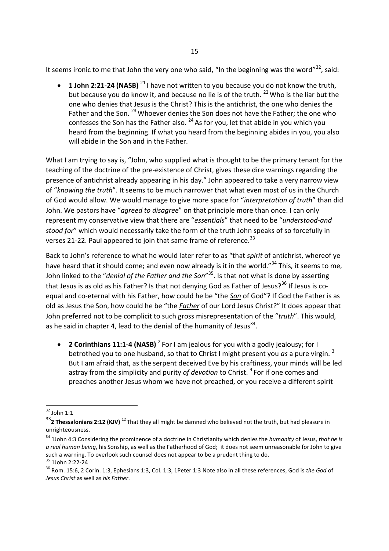It seems ironic to me that John the very one who said, "In the beginning was the word"<sup>32</sup>, said:

**1 John 2:21-24 (NASB)** <sup>21</sup> I have not written to you because you do not know the truth. but because you do know it, and because no lie is of the truth.  $^{22}$  Who is the liar but the one who denies that Jesus is the Christ? This is the antichrist, the one who denies the Father and the Son. <sup>23</sup> Whoever denies the Son does not have the Father; the one who confesses the Son has the Father also.  $^{24}$  As for you, let that abide in you which you heard from the beginning. If what you heard from the beginning abides in you, you also will abide in the Son and in the Father.

What I am trying to say is, "John, who supplied what is thought to be the primary tenant for the teaching of the doctrine of the pre-existence of Christ, gives these dire warnings regarding the presence of antichrist already appearing in his day." John appeared to take a very narrow view of "*knowing the truth*". It seems to be much narrower that what even most of us in the Church of God would allow. We would manage to give more space for "*interpretation of truth*" than did John. We pastors have "*agreed to disagree*" on that principle more than once. I can only represent my conservative view that there are "*essentials*" that need to be "*understood-and stood for*" which would necessarily take the form of the truth John speaks of so forcefully in verses 21-22. Paul appeared to join that same frame of reference.<sup>33</sup>

Back to John's reference to what he would later refer to as "that *spirit* of antichrist, whereof ye have heard that it should come; and even now already is it in the world."<sup>34</sup> This, it seems to me, John linked to the "*denial of the Father and the Son*" <sup>35</sup>. Is that not what is done by asserting that Jesus is as old as his Father? Is that not denying God as Father of Jesus?<sup>36</sup> If Jesus is coequal and co-eternal with his Father, how could he be "the *Son* of God"? If God the Father is as old as Jesus the Son, how could he be "the *Father* of our Lord Jesus Christ?" It does appear that John preferred not to be complicit to such gross misrepresentation of the "*truth*". This would, as he said in chapter 4, lead to the denial of the humanity of Jesus<sup>34</sup>.

**2 Corinthians 11:1-4 (NASB)** <sup>2</sup> For I am jealous for you with a godly jealousy; for I betrothed you to one husband, so that to Christ I might present you *as* a pure virgin. <sup>3</sup> But I am afraid that, as the serpent deceived Eve by his craftiness, your minds will be led astray from the simplicity and purity *of devotion* to Christ. <sup>4</sup> For if one comes and preaches another Jesus whom we have not preached, or you receive a different spirit

 $32$  John 1:1

<sup>&</sup>lt;sup>33</sup>2 Thessalonians 2:12 (KJV)<sup>12</sup> That they all might be damned who believed not the truth, but had pleasure in unrighteousness.

<sup>34</sup> 1John 4:3 Considering the prominence of a doctrine in Christianity which denies the *humanity* of Jesus, *that he is a real human being*, his Sonship, as well as the Fatherhood of God; it does not seem unreasonable for John to give such a warning. To overlook such counsel does not appear to be a prudent thing to do.

<sup>35</sup> 1John 2:22-24

<sup>36</sup> Rom. 15:6, 2 Corin. 1:3, Ephesians 1:3, Col. 1:3, 1Peter 1:3 Note also in all these references, God is *the God* of *Jesus Christ* as well as *his Father*.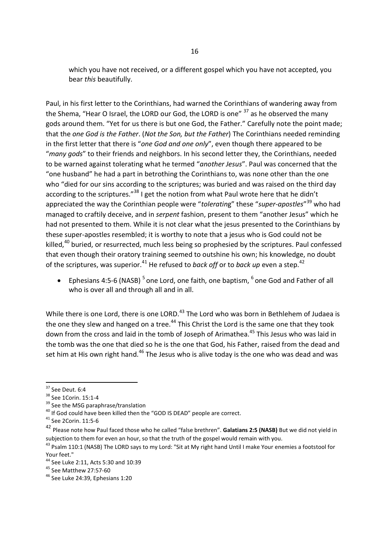which you have not received, or a different gospel which you have not accepted, you bear *this* beautifully.

Paul, in his first letter to the Corinthians, had warned the Corinthians of wandering away from the Shema, "Hear O Israel, the LORD our God, the LORD is one"  $37$  as he observed the many gods around them. "Yet for us there is but one God, the Father." Carefully note the point made; that the *one God is the Father*. (*Not the Son, but the Father*) The Corinthians needed reminding in the first letter that there is "*one God and one only*", even though there appeared to be "*many gods*" to their friends and neighbors. In his second letter they, the Corinthians, needed to be warned against tolerating what he termed "*another Jesus*". Paul was concerned that the "one husband" he had a part in betrothing the Corinthians to, was none other than the one who "died for our sins according to the scriptures; was buried and was raised on the third day according to the scriptures."<sup>38</sup> I get the notion from what Paul wrote here that he didn't appreciated the way the Corinthian people were "*toleratin*g" these "*super-apostles*" <sup>39</sup> who had managed to craftily deceive, and in *serpent* fashion, present to them "another Jesus" which he had not presented to them. While it is not clear what the jesus presented to the Corinthians by these super-apostles resembled; it is worthy to note that a jesus who is God could not be killed,<sup>40</sup> buried, or resurrected, much less being so prophesied by the scriptures. Paul confessed that even though their oratory training seemed to outshine his own; his knowledge, no doubt of the scriptures, was superior.<sup>41</sup> He refused to *back off* or to *back up* even a step.<sup>42</sup>

• Ephesians 4:5-6 (NASB)<sup>5</sup> one Lord, one faith, one baptism,  $^6$  one God and Father of all who is over all and through all and in all.

While there is one Lord, there is one LORD.<sup>43</sup> The Lord who was born in Bethlehem of Judaea is the one they slew and hanged on a tree.<sup>44</sup> This Christ the Lord is the same one that they took down from the cross and laid in the tomb of Joseph of Arimathea.<sup>45</sup> This Jesus who was laid in the tomb was the one that died so he is the one that God, his Father, raised from the dead and set him at His own right hand.<sup>46</sup> The Jesus who is alive today is the one who was dead and was

<sup>37</sup> See Deut. 6:4

<sup>38</sup> See 1Corin. 15:1-4

<sup>&</sup>lt;sup>39</sup> See the MSG paraphrase/translation

<sup>&</sup>lt;sup>40</sup> If God could have been killed then the "GOD IS DEAD" people are correct.

<sup>41</sup> See 2Corin. 11:5-6

<sup>42</sup> Please note how Paul faced those who he called "false brethren". **Galatians 2:5 (NASB)** But we did not yield in subjection to them for even an hour, so that the truth of the gospel would remain with you.

<sup>&</sup>lt;sup>43</sup> Psalm 110:1 (NASB) The LORD says to my Lord: "Sit at My right hand Until I make Your enemies a footstool for Your feet."

<sup>44</sup> See Luke 2:11, Acts 5:30 and 10:39

<sup>45</sup> See Matthew 27:57-60

<sup>46</sup> See Luke 24:39, Ephesians 1:20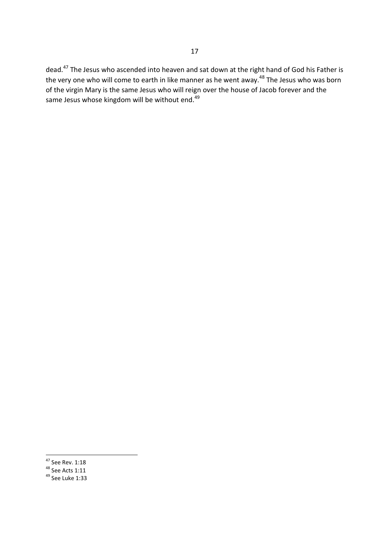dead.<sup>47</sup> The Jesus who ascended into heaven and sat down at the right hand of God his Father is the very one who will come to earth in like manner as he went away.<sup>48</sup> The Jesus who was born of the virgin Mary is the same Jesus who will reign over the house of Jacob forever and the same Jesus whose kingdom will be without end.<sup>49</sup>

 $47$  See Rev. 1:18

 $48$  See Acts 1:11

 $49$  See Luke 1:33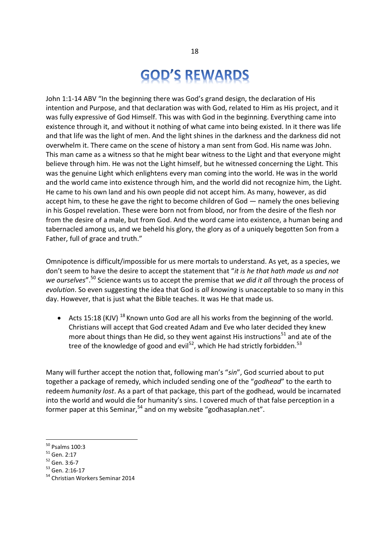# **GOD'S REWARDS**

John 1:1-14 ABV "In the beginning there was God's grand design, the declaration of His intention and Purpose, and that declaration was with God, related to Him as His project, and it was fully expressive of God Himself. This was with God in the beginning. Everything came into existence through it, and without it nothing of what came into being existed. In it there was life and that life was the light of men. And the light shines in the darkness and the darkness did not overwhelm it. There came on the scene of history a man sent from God. His name was John. This man came as a witness so that he might bear witness to the Light and that everyone might believe through him. He was not the Light himself, but he witnessed concerning the Light. This was the genuine Light which enlightens every man coming into the world. He was in the world and the world came into existence through him, and the world did not recognize him, the Light. He came to his own land and his own people did not accept him. As many, however, as did accept him, to these he gave the right to become children of God — namely the ones believing in his Gospel revelation. These were born not from blood, nor from the desire of the flesh nor from the desire of a male, but from God. And the word came into existence, a human being and tabernacled among us, and we beheld his glory, the glory as of a uniquely begotten Son from a Father, full of grace and truth."

Omnipotence is difficult/impossible for us mere mortals to understand. As yet, as a species, we don't seem to have the desire to accept the statement that "*it is he that hath made us and not we ourselves*".<sup>50</sup> Science wants us to accept the premise that *we did it all* through the process of *evolution*. So even suggesting the idea that God is *all knowing* is unacceptable to so many in this day. However, that is just what the Bible teaches. It was He that made us.

Acts 15:18 (KJV)  $^{18}$  Known unto God are all his works from the beginning of the world. Christians will accept that God created Adam and Eve who later decided they knew more about things than He did, so they went against His instructions<sup>51</sup> and ate of the tree of the knowledge of good and evil<sup>52</sup>, which He had strictly forbidden.<sup>53</sup>

Many will further accept the notion that, following man's "*sin*", God scurried about to put together a package of remedy, which included sending one of the "*godhead*" to the earth to redeem *humanity lost*. As a part of that package, this part of the godhead, would be incarnated into the world and would die for humanity's sins. I covered much of that false perception in a former paper at this Seminar,  $54$  and on my website "godhasaplan.net".

<sup>50</sup> Psalms 100:3

<sup>51</sup> Gen. 2:17

<sup>52</sup> Gen. 3:6-7

<sup>53</sup> Gen. 2:16-17

<sup>54</sup> Christian Workers Seminar 2014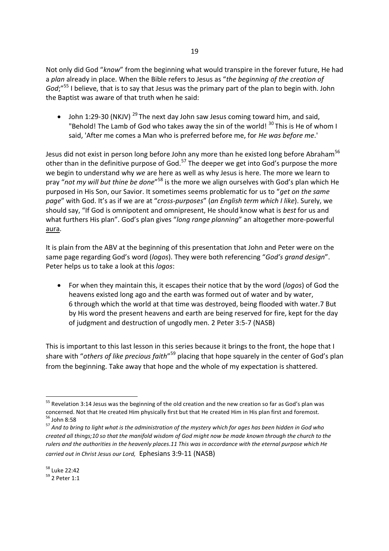Not only did God "*know*" from the beginning what would transpire in the forever future, He had a *plan* already in place. When the Bible refers to Jesus as "*the beginning of the creation of God*:"<sup>55</sup> I believe, that is to say that Jesus was the primary part of the plan to begin with. John the Baptist was aware of that truth when he said:

John 1:29-30 (NKJV)<sup>29</sup> The next day John saw Jesus coming toward him, and said, "Behold! The Lamb of God who takes away the sin of the world!  $30$  This is He of whom I said, 'After me comes a Man who is preferred before me, for *He was before me*.'

Jesus did not exist in person long before John any more than he existed long before Abraham<sup>56</sup> other than in the definitive purpose of God.<sup>57</sup> The deeper we get into God's purpose the more we begin to understand why *we* are here as well as why Jesus is here. The more we learn to pray "not my will but thine be done"<sup>58</sup> is the more we align ourselves with God's plan which He purposed in His Son, our Savior. It sometimes seems problematic for us to "*get on the same page*" with God. It's as if we are at "*cross-purposes*" (*an English term which I like*). Surely, we should say, "If God is omnipotent and omnipresent, He should know what is *best* for us and what furthers His plan". God's plan gives "*long range planning*" an altogether more-powerful aura.

It is plain from the ABV at the beginning of this presentation that John and Peter were on the same page regarding God's word (*logos*). They were both referencing "*God's grand design*". Peter helps us to take a look at this *logos*:

 For when they maintain this, it escapes their notice that by the word (*logos*) of God the heavens existed long ago and the earth was formed out of water and by water, 6 through which the world at that time was destroyed, being flooded with water.7 But by His word the present heavens and earth are being reserved for fire, kept for the day of judgment and destruction of ungodly men. 2 Peter 3:5-7 (NASB)

This is important to this last lesson in this series because it brings to the front, the hope that I share with "others of like precious faith"<sup>59</sup> placing that hope squarely in the center of God's plan from the beginning. Take away that hope and the whole of my expectation is shattered.

<sup>&</sup>lt;sup>55</sup> Revelation 3:14 Jesus was the beginning of the old creation and the new creation so far as God's plan was concerned. Not that He created Him physically first but that He created Him in His plan first and foremost. <sup>56</sup> John 8:58

<sup>57</sup> *And to bring to light what is the administration of the mystery which for ages has been hidden in God who created all things;10 so that the manifold wisdom of God might now be made known through the church to the rulers and the authorities in the heavenly places.11 This was in accordance with the eternal purpose which He carried out in Christ Jesus our Lord,* Ephesians 3:9-11 (NASB)

<sup>58</sup> Luke 22:42

<sup>59</sup> 2 Peter 1:1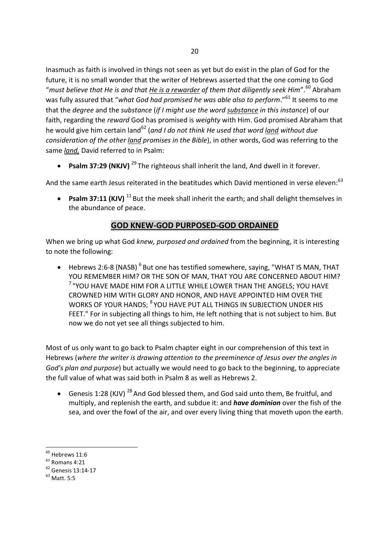Inasmuch as faith is involved in things not seen as yet but do exist in the plan of God for the future, it is no small wonder that the writer of Hebrews asserted that the one coming to God "*must believe that He is and that He is a rewarder of them that diligently seek Him*".<sup>60</sup> Abraham was fully assured that "*what God had promised he was able also to perform*."<sup>61</sup> It seems to me that the *degree* and the *substance* (*if I might use the word substance in this instance*) of our faith, regarding the *reward* God has promised is *weighty* with Him. God promised Abraham that he would give him certain land<sup>62</sup> (*and I do not think He used that word land without due consideration of the other land promises in the Bible*), in other words, God was referring to the same *land,* David referred to in Psalm:

**• Psalm 37:29 (NKJV)** <sup>29</sup> The righteous shall inherit the land, And dwell in it forever.

And the same earth Jesus reiterated in the beatitudes which David mentioned in verse eleven:<sup>63</sup>

**• Psalm 37:11 (KJV)** <sup>11</sup> But the meek shall inherit the earth; and shall delight themselves in the abundance of peace.

### **GOD KNEW-GOD PURPOSED-GOD ORDAINED**

When we bring up what God *knew, purposed and ordained* from the beginning, it is interesting to note the following:

• Hebrews 2:6-8 (NASB) <sup>6</sup> But one has testified somewhere, saying, "WHAT IS MAN, THAT YOU REMEMBER HIM? OR THE SON OF MAN, THAT YOU ARE CONCERNED ABOUT HIM?  $^7$  "YOU HAVE MADE HIM FOR A LITTLE WHILE LOWER THAN THE ANGELS; YOU HAVE CROWNED HIM WITH GLORY AND HONOR, AND HAVE APPOINTED HIM OVER THE WORKS OF YOUR HANDS; <sup>8</sup> YOU HAVE PUT ALL THINGS IN SUBJECTION UNDER HIS FEET." For in subjecting all things to him, He left nothing that is not subject to him. But now we do not yet see all things subjected to him.

Most of us only want to go back to Psalm chapter eight in our comprehension of this text in Hebrews (*where the writer is drawing attention to the preeminence of Jesus over the angles in God's plan and purpose*) but actually we would need to go back to the beginning, to appreciate the full value of what was said both in Psalm 8 as well as Hebrews 2.

Genesis 1:28 (KJV)<sup>28</sup> And God blessed them, and God said unto them, Be fruitful, and multiply, and replenish the earth, and subdue it: and *have dominion* over the fish of the sea, and over the fowl of the air, and over every living thing that moveth upon the earth.

 $60$  Hebrews 11:6

 $<sup>61</sup>$  Romans 4:21</sup>

<sup>62</sup> Genesis 13:14-17

 $63$  Matt. 5:5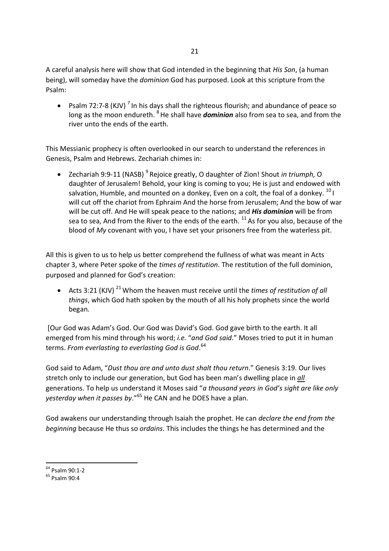A careful analysis here will show that God intended in the beginning that *His Son*, (a human being), will someday have the *dominion* God has purposed. Look at this scripture from the Psalm:

• Psalm 72:7-8 (KJV)<sup>7</sup> In his days shall the righteous flourish; and abundance of peace so long as the moon endureth. <sup>8</sup>He shall have *dominion* also from sea to sea, and from the river unto the ends of the earth.

This Messianic prophecy is often overlooked in our search to understand the references in Genesis, Psalm and Hebrews. Zechariah chimes in:

• Zechariah 9:9-11 (NASB)<sup>9</sup> Rejoice greatly, O daughter of Zion! Shout *in triumph,* O daughter of Jerusalem! Behold, your king is coming to you; He is just and endowed with salvation, Humble, and mounted on a donkey, Even on a colt, the foal of a donkey.  $^{10}$  I will cut off the chariot from Ephraim And the horse from Jerusalem; And the bow of war will be cut off. And He will speak peace to the nations; and *His dominion* will be from sea to sea, And from the River to the ends of the earth.  $^{11}$  As for you also, because of the blood of *My* covenant with you, I have set your prisoners free from the waterless pit.

All this is given to us to help us better comprehend the fullness of what was meant in Acts chapter 3, where Peter spoke of the *times of restitution*. The restitution of the full dominion, purposed and planned for God's creation:

• Acts 3:21 (KJV)<sup>21</sup> Whom the heaven must receive until the *times of restitution of all things*, which God hath spoken by the mouth of all his holy prophets since the world began.

[Our God was Adam's God. Our God was David's God. God gave birth to the earth. It all emerged from his mind through his word; *i.e.* "*and God said*." Moses tried to put it in human terms. *From everlasting to everlasting God is God*. 64

God said to Adam, "*Dust thou are and unto dust shalt thou return*." Genesis 3:19. Our lives stretch only to include our generation, but God has been man's dwelling place in *all* generations. To help us understand it Moses said "*a thousand years in God's sight are like only yesterday when it passes by*."<sup>65</sup> He CAN and he DOES have a plan.

God awakens our understanding through Isaiah the prophet. He can *declare the end from the beginning* because He thus so *ordains*. This includes the things he has determined and the

<sup>64</sup> Psalm 90:1-2

<sup>65</sup> Psalm 90:4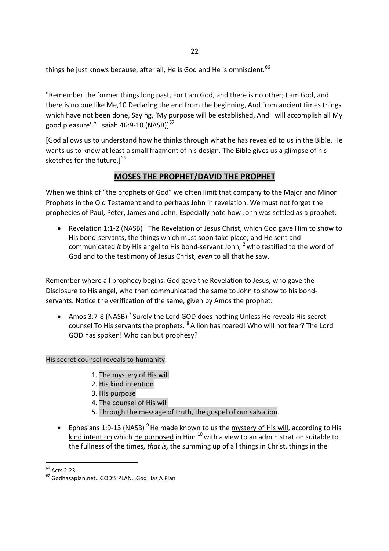things he just knows because, after all, He is God and He is omniscient.<sup>66</sup>

"Remember the former things long past, For I am God, and there is no other; I am God, and there is no one like Me,10 Declaring the end from the beginning, And from ancient times things which have not been done, Saying, 'My purpose will be established, And I will accomplish all My good pleasure'." Isaiah 46:9-10 (NASB)] $^{67}$ 

[God allows us to understand how he thinks through what he has revealed to us in the Bible. He wants us to know at least a small fragment of his design. The Bible gives us a glimpse of his sketches for the future. $]^{66}$ 

## **MOSES THE PROPHET/DAVID THE PROPHET**

When we think of "the prophets of God" we often limit that company to the Major and Minor Prophets in the Old Testament and to perhaps John in revelation. We must not forget the prophecies of Paul, Peter, James and John. Especially note how John was settled as a prophet:

• Revelation 1:1-2 (NASB)  $^{1}$  The Revelation of Jesus Christ, which God gave Him to show to His bond-servants, the things which must soon take place; and He sent and communicated *it* by His angel to His bond-servant John, <sup>2</sup> who testified to the word of God and to the testimony of Jesus Christ, *even* to all that he saw.

Remember where all prophecy begins. God gave the Revelation to Jesus, who gave the Disclosure to His angel, who then communicated the same to John to show to his bondservants. Notice the verification of the same, given by Amos the prophet:

• Amos 3:7-8 (NASB)<sup>7</sup> Surely the Lord GOD does nothing Unless He reveals His secret counsel To His servants the prophets. <sup>8</sup> A lion has roared! Who will not fear? The Lord GOD has spoken! Who can but prophesy?

His secret counsel reveals to humanity:

- 1. The mystery of His will
- 2. His kind intention
- 3. His purpose
- 4. The counsel of His will
- 5. Through the message of truth, the gospel of our salvation.
- **•** Ephesians 1:9-13 (NASB)<sup>9</sup> He made known to us the mystery of His will, according to His kind intention which He purposed in Him  $^{10}$  with a view to an administration suitable to the fullness of the times, *that is,* the summing up of all things in Christ, things in the

<sup>&</sup>lt;sup>66</sup> Acts 2:23

<sup>67</sup> Godhasaplan.net…GOD'S PLAN…God Has A Plan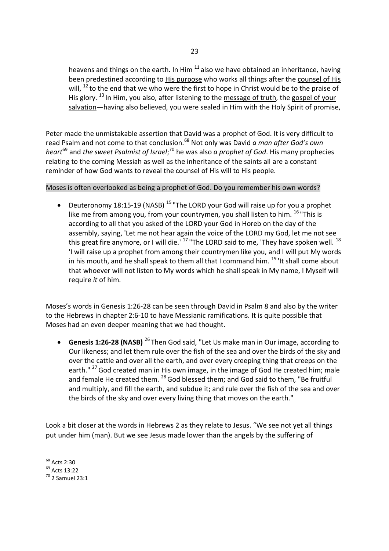heavens and things on the earth. In Him  $^{11}$  also we have obtained an inheritance, having been predestined according to His purpose who works all things after the counsel of His will,  $^{12}$  to the end that we who were the first to hope in Christ would be to the praise of  $\overline{H}$  His glory. <sup>13</sup> In Him, you also, after listening to the message of truth, the gospel of your salvation—having also believed, you were sealed in Him with the Holy Spirit of promise,

Peter made the unmistakable assertion that David was a prophet of God. It is very difficult to read Psalm and not come to that conclusion.<sup>68</sup> Not only was David *a man after God's own heart*<sup>69</sup> and *the sweet Psalmist of Israel*; <sup>70</sup> he was also *a prophet of God*. His many prophecies relating to the coming Messiah as well as the inheritance of the saints all are a constant reminder of how God wants to reveal the counsel of His will to His people.

Moses is often overlooked as being a prophet of God. Do you remember his own words?

Deuteronomy 18:15-19 (NASB)<sup>15</sup> "The LORD your God will raise up for you a prophet like me from among you, from your countrymen, you shall listen to him.  $^{16}$  "This is according to all that you asked of the LORD your God in Horeb on the day of the assembly, saying, 'Let me not hear again the voice of the LORD my God, let me not see this great fire anymore, or I will die.<sup>'17</sup> "The LORD said to me, 'They have spoken well.<sup>18</sup> 'I will raise up a prophet from among their countrymen like you, and I will put My words in his mouth, and he shall speak to them all that I command him.  $^{19}$  'It shall come about that whoever will not listen to My words which he shall speak in My name, I Myself will require *it* of him.

Moses's words in Genesis 1:26-28 can be seen through David in Psalm 8 and also by the writer to the Hebrews in chapter 2:6-10 to have Messianic ramifications. It is quite possible that Moses had an even deeper meaning that we had thought.

 **Genesis 1:26-28 (NASB)** <sup>26</sup> Then God said, "Let Us make man in Our image, according to Our likeness; and let them rule over the fish of the sea and over the birds of the sky and over the cattle and over all the earth, and over every creeping thing that creeps on the earth." <sup>27</sup> God created man in His own image, in the image of God He created him; male and female He created them. <sup>28</sup> God blessed them; and God said to them, "Be fruitful and multiply, and fill the earth, and subdue it; and rule over the fish of the sea and over the birds of the sky and over every living thing that moves on the earth."

Look a bit closer at the words in Hebrews 2 as they relate to Jesus. "We see not yet all things put under him (man). But we see Jesus made lower than the angels by the suffering of

<sup>68</sup> Acts 2:30

 $^{69}$  Acts 13:22

 $^{70}$  2 Samuel 23:1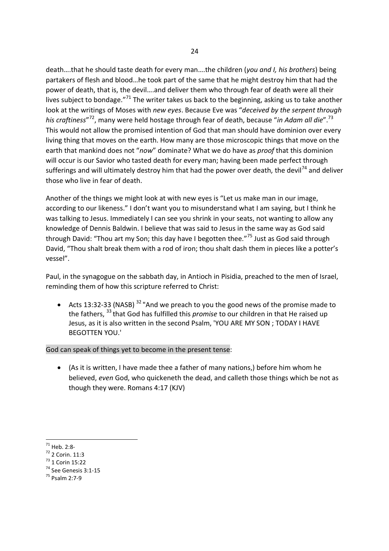death….that he should taste death for every man….the children (*you and I, his brothers*) being partakers of flesh and blood…he took part of the same that he might destroy him that had the power of death, that is, the devil….and deliver them who through fear of death were all their lives subject to bondage."<sup>71</sup> The writer takes us back to the beginning, asking us to take another look at the writings of Moses with *new eyes*. Because Eve was "*deceived by the serpent through his craftiness*" <sup>72</sup>, many were held hostage through fear of death, because "*in Adam all die*".<sup>73</sup> This would not allow the promised intention of God that man should have dominion over every living thing that moves on the earth. How many are those microscopic things that move on the earth that mankind does not "*now*" dominate? What we do have as *proof* that this dominion will occur is our Savior who tasted death for every man; having been made perfect through sufferings and will ultimately destroy him that had the power over death, the devil<sup>74</sup> and deliver those who live in fear of death.

Another of the things we might look at with new eyes is "Let us make man in our image, according to our likeness." I don't want you to misunderstand what I am saying, but I think he was talking to Jesus. Immediately I can see you shrink in your seats, not wanting to allow any knowledge of Dennis Baldwin. I believe that was said to Jesus in the same way as God said through David: "Thou art my Son; this day have I begotten thee."<sup>75</sup> Just as God said through David, "Thou shalt break them with a rod of iron; thou shalt dash them in pieces like a potter's vessel".

Paul, in the synagogue on the sabbath day, in Antioch in Pisidia, preached to the men of Israel, reminding them of how this scripture referred to Christ:

• Acts 13:32-33 (NASB)<sup>32</sup> "And we preach to you the good news of the promise made to the fathers, <sup>33</sup> that God has fulfilled this *promise* to our children in that He raised up Jesus, as it is also written in the second Psalm, 'YOU ARE MY SON ; TODAY I HAVE BEGOTTEN YOU.'

God can speak of things yet to become in the present tense:

 (As it is written, I have made thee a father of many nations,) before him whom he believed, *even* God, who quickeneth the dead, and calleth those things which be not as though they were. Romans 4:17 (KJV)

<sup>73</sup> 1 Corin 15:22

<sup>71</sup> Heb. 2:8-

<sup>72</sup> 2 Corin. 11:3

<sup>74</sup> See Genesis 3:1-15

<sup>75</sup> Psalm 2:7-9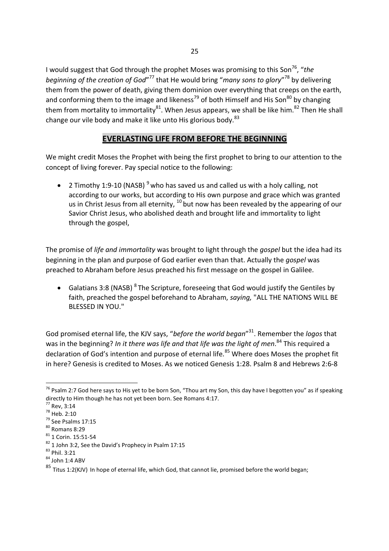I would suggest that God through the prophet Moses was promising to this Son<sup>76</sup>, "*the* beginning of the creation of God"<sup>77</sup> that He would bring "*many sons to glory*"<sup>78</sup> by delivering them from the power of death, giving them dominion over everything that creeps on the earth, and conforming them to the image and likeness<sup>79</sup> of both Himself and His Son<sup>80</sup> by changing them from mortality to immortality<sup>81</sup>. When Jesus appears, we shall be like him.<sup>82</sup> Then He shall change our vile body and make it like unto His glorious body.<sup>83</sup>

### **EVERLASTING LIFE FROM BEFORE THE BEGINNING**

We might credit Moses the Prophet with being the first prophet to bring to our attention to the concept of living forever. Pay special notice to the following:

• 2 Timothy 1:9-10 (NASB)<sup>9</sup> who has saved us and called us with a holy calling, not according to our works, but according to His own purpose and grace which was granted us in Christ Jesus from all eternity,  $^{10}$  but now has been revealed by the appearing of our Savior Christ Jesus, who abolished death and brought life and immortality to light through the gospel,

The promise of *life and immortality* was brought to light through the *gospel* but the idea had its beginning in the plan and purpose of God earlier even than that. Actually the *gospel* was preached to Abraham before Jesus preached his first message on the gospel in Galilee.

• Galatians 3:8 (NASB)  ${}^{8}$  The Scripture, foreseeing that God would justify the Gentiles by faith, preached the gospel beforehand to Abraham, *saying,* "ALL THE NATIONS WILL BE BLESSED IN YOU."

God promised eternal life, the KJV says, "*before the world began*" <sup>31</sup>. Remember the *logos* that was in the beginning? *In it there was life and that life was the light of men*. <sup>84</sup> This required a declaration of God's intention and purpose of eternal life.<sup>85</sup> Where does Moses the prophet fit in here? Genesis is credited to Moses. As we noticed Genesis 1:28. Psalm 8 and Hebrews 2:6-8

 $76$  Psalm 2:7 God here says to His yet to be born Son, "Thou art my Son, this day have I begotten you" as if speaking directly to Him though he has not yet been born. See Romans 4:17.

<sup>77</sup> Rev, 3:14

<sup>78</sup> Heb. 2:10

<sup>79</sup> See Psalms 17:15

 $80$  Romans 8:29

<sup>81</sup> 1 Corin. 15:51-54

<sup>&</sup>lt;sup>82</sup> 1 John 3:2, See the David's Prophecy in Psalm 17:15

<sup>83</sup> Phil. 3:21

<sup>84</sup> John 1:4 ABV

 $85$  Titus 1:2(KJV) In hope of eternal life, which God, that cannot lie, promised before the world began;